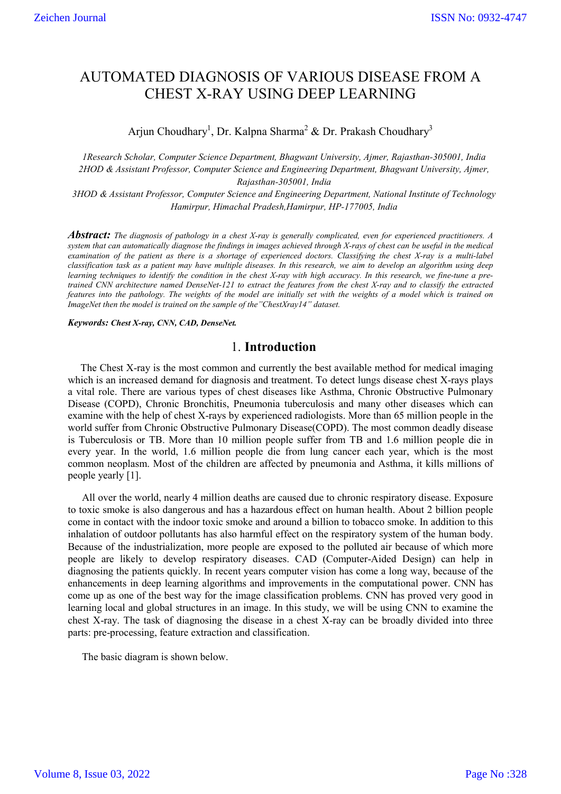# AUTOMATED DIAGNOSIS OF VARIOUS DISEASE FROM A CHEST X-RAY USING DEEP LEARNING

Arjun Choudhary<sup>1</sup>, Dr. Kalpna Sharma<sup>2</sup> & Dr. Prakash Choudhary<sup>3</sup>

*1Research Scholar, Computer Science Department, Bhagwant University, Ajmer, Rajasthan-305001, India 2HOD & Assistant Professor, Computer Science and Engineering Department, Bhagwant University, Ajmer, Rajasthan-305001, India*

*3HOD & Assistant Professor, Computer Science and Engineering Department, National Institute of Technology Hamirpur, Himachal Pradesh,Hamirpur, HP-177005, India*

*Abstract: The diagnosis of pathology in a chest X-ray is generally complicated, even for experienced practitioners. A system that can automatically diagnose the findings in images achieved through X-rays of chest can be useful in the medical examination of the patient as there is a shortage of experienced doctors. Classifying the chest X-ray is a multi-label classification task as a patient may have multiple diseases. In this research, we aim to develop an algorithm using deep learning techniques to identify the condition in the chest X-ray with high accuracy. In this research, we fine-tune a pretrained CNN architecture named DenseNet-121 to extract the features from the chest X-ray and to classify the extracted features into the pathology. The weights of the model are initially set with the weights of a model which is trained on ImageNet then the model is trained on the sample of the"ChestXray14" dataset.*

*Keywords: Chest X-ray, CNN, CAD, DenseNet.*

# 1. **Introduction**

The Chest X-ray is the most common and currently the best available method for medical imaging which is an increased demand for diagnosis and treatment. To detect lungs disease chest X-rays plays a vital role. There are various types of chest diseases like Asthma, Chronic Obstructive Pulmonary Disease (COPD), Chronic Bronchitis, Pneumonia tuberculosis and many other diseases which can examine with the help of chest X-rays by experienced radiologists. More than 65 million people in the world suffer from Chronic Obstructive Pulmonary Disease(COPD). The most common deadly disease is Tuberculosis or TB. More than 10 million people suffer from TB and 1.6 million people die in every year. In the world, 1.6 million people die from lung cancer each year, which is the most common neoplasm. Most of the children are affected by pneumonia and Asthma, it kills millions of people yearly [1].

All over the world, nearly 4 million deaths are caused due to chronic respiratory disease. Exposure to toxic smoke is also dangerous and has a hazardous effect on human health. About 2 billion people come in contact with the indoor toxic smoke and around a billion to tobacco smoke. In addition to this inhalation of outdoor pollutants has also harmful effect on the respiratory system of the human body. Because of the industrialization, more people are exposed to the polluted air because of which more people are likely to develop respiratory diseases. CAD (Computer-Aided Design) can help in diagnosing the patients quickly. In recent years computer vision has come a long way, because of the enhancements in deep learning algorithms and improvements in the computational power. CNN has come up as one of the best way for the image classification problems. CNN has proved very good in learning local and global structures in an image. In this study, we will be using CNN to examine the chest X-ray. The task of diagnosing the disease in a chest X-ray can be broadly divided into three parts: pre-processing, feature extraction and classification.

The basic diagram is shown below.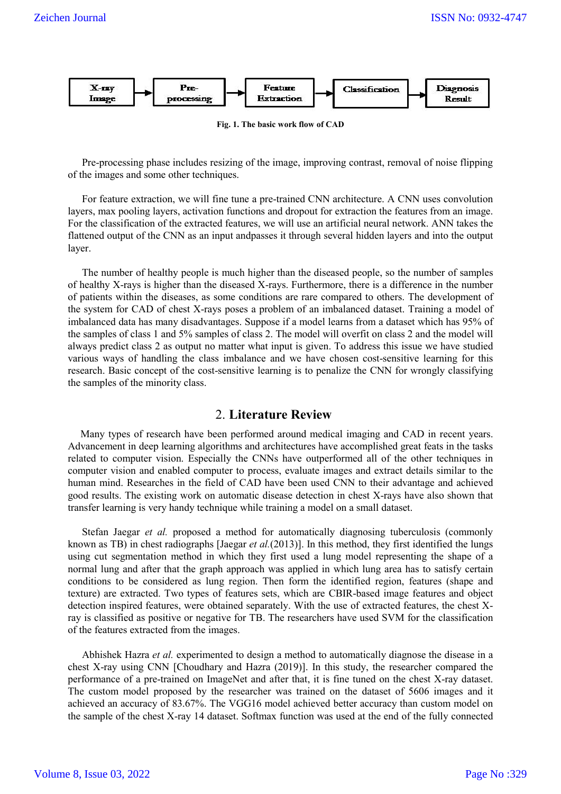

**Fig. 1. The basic work flow of CAD**

Pre-processing phase includes resizing of the image, improving contrast, removal of noise flipping of the images and some other techniques.

For feature extraction, we will fine tune a pre-trained CNN architecture. A CNN uses convolution layers, max pooling layers, activation functions and dropout for extraction the features from an image. For the classification of the extracted features, we will use an artificial neural network. ANN takes the flattened output of the CNN as an input andpasses it through several hidden layers and into the output layer.

The number of healthy people is much higher than the diseased people, so the number of samples of healthy X-rays is higher than the diseased X-rays. Furthermore, there is a difference in the number of patients within the diseases, as some conditions are rare compared to others. The development of the system for CAD of chest X-rays poses a problem of an imbalanced dataset. Training a model of imbalanced data has many disadvantages. Suppose if a model learns from a dataset which has 95% of the samples of class 1 and 5% samples of class 2. The model will overfit on class 2 and the model will always predict class 2 as output no matter what input is given. To address this issue we have studied various ways of handling the class imbalance and we have chosen cost-sensitive learning for this research. Basic concept of the cost-sensitive learning is to penalize the CNN for wrongly classifying the samples of the minority class.

# 2. **Literature Review**

Many types of research have been performed around medical imaging and CAD in recent years. Advancement in deep learning algorithms and architectures have accomplished great feats in the tasks related to computer vision. Especially the CNNs have outperformed all of the other techniques in computer vision and enabled computer to process, evaluate images and extract details similar to the human mind. Researches in the field of CAD have been used CNN to their advantage and achieved good results. The existing work on automatic disease detection in chest X-rays have also shown that transfer learning is very handy technique while training a model on a small dataset.

Stefan Jaegar *et al.* proposed a method for automatically diagnosing tuberculosis (commonly known as TB) in chest radiographs [Jaegar *et al.*(2013)]. In this method, they first identified the lungs using cut segmentation method in which they first used a lung model representing the shape of a normal lung and after that the graph approach was applied in which lung area has to satisfy certain conditions to be considered as lung region. Then form the identified region, features (shape and texture) are extracted. Two types of features sets, which are CBIR-based image features and object detection inspired features, were obtained separately. With the use of extracted features, the chest Xray is classified as positive or negative for TB. The researchers have used SVM for the classification of the features extracted from the images.

Abhishek Hazra *et al.* experimented to design a method to automatically diagnose the disease in a chest X-ray using CNN [Choudhary and Hazra (2019)]. In this study, the researcher compared the performance of a pre-trained on ImageNet and after that, it is fine tuned on the chest X-ray dataset. The custom model proposed by the researcher was trained on the dataset of 5606 images and it achieved an accuracy of 83.67%. The VGG16 model achieved better accuracy than custom model on the sample of the chest X-ray 14 dataset. Softmax function was used at the end of the fully connected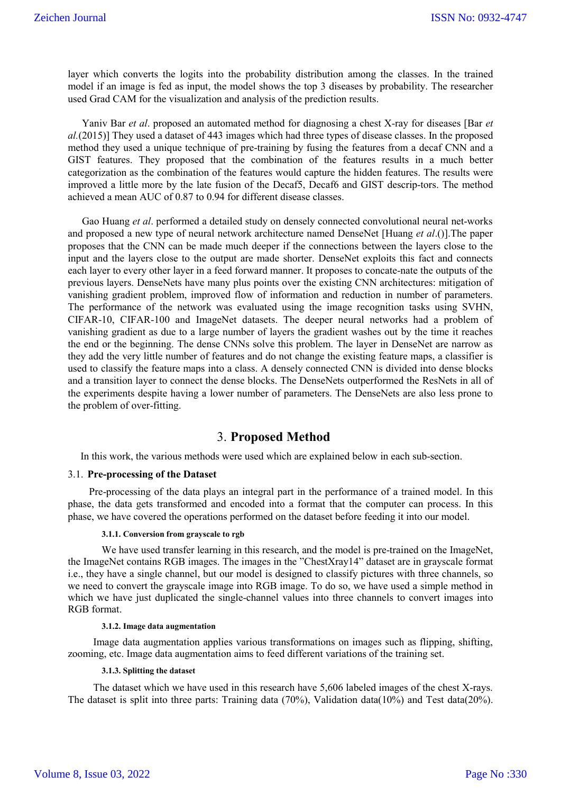layer which converts the logits into the probability distribution among the classes. In the trained model if an image is fed as input, the model shows the top 3 diseases by probability. The researcher used Grad CAM for the visualization and analysis of the prediction results.

Yaniv Bar *et al*. proposed an automated method for diagnosing a chest X-ray for diseases [Bar *et al.*(2015)] They used a dataset of 443 images which had three types of disease classes. In the proposed method they used a unique technique of pre-training by fusing the features from a decaf CNN and a GIST features. They proposed that the combination of the features results in a much better categorization as the combination of the features would capture the hidden features. The results were improved a little more by the late fusion of the Decaf5, Decaf6 and GIST descrip-tors. The method achieved a mean AUC of 0.87 to 0.94 for different disease classes.

Gao Huang *et al*. performed a detailed study on densely connected convolutional neural net-works and proposed a new type of neural network architecture named DenseNet [Huang *et al*.()].The paper proposes that the CNN can be made much deeper if the connections between the layers close to the input and the layers close to the output are made shorter. DenseNet exploits this fact and connects each layer to every other layer in a feed forward manner. It proposes to concate-nate the outputs of the previous layers. DenseNets have many plus points over the existing CNN architectures: mitigation of vanishing gradient problem, improved flow of information and reduction in number of parameters. The performance of the network was evaluated using the image recognition tasks using SVHN, CIFAR-10, CIFAR-100 and ImageNet datasets. The deeper neural networks had a problem of vanishing gradient as due to a large number of layers the gradient washes out by the time it reaches the end or the beginning. The dense CNNs solve this problem. The layer in DenseNet are narrow as they add the very little number of features and do not change the existing feature maps, a classifier is used to classify the feature maps into a class. A densely connected CNN is divided into dense blocks and a transition layer to connect the dense blocks. The DenseNets outperformed the ResNets in all of the experiments despite having a lower number of parameters. The DenseNets are also less prone to the problem of over-fitting.

# 3. **Proposed Method**

In this work, the various methods were used which are explained below in each sub-section.

#### 3.1. **Pre-processing of the Dataset**

Pre-processing of the data plays an integral part in the performance of a trained model. In this phase, the data gets transformed and encoded into a format that the computer can process. In this phase, we have covered the operations performed on the dataset before feeding it into our model.

#### **3.1.1. Conversion from grayscale to rgb**

We have used transfer learning in this research, and the model is pre-trained on the ImageNet, the ImageNet contains RGB images. The images in the "ChestXray14" dataset are in grayscale format i.e., they have a single channel, but our model is designed to classify pictures with three channels, so we need to convert the grayscale image into RGB image. To do so, we have used a simple method in which we have just duplicated the single-channel values into three channels to convert images into RGB format.

#### **3.1.2. Image data augmentation**

Image data augmentation applies various transformations on images such as flipping, shifting, zooming, etc. Image data augmentation aims to feed different variations of the training set.

#### **3.1.3. Splitting the dataset**

The dataset which we have used in this research have 5,606 labeled images of the chest X-rays. The dataset is split into three parts: Training data (70%), Validation data(10%) and Test data(20%).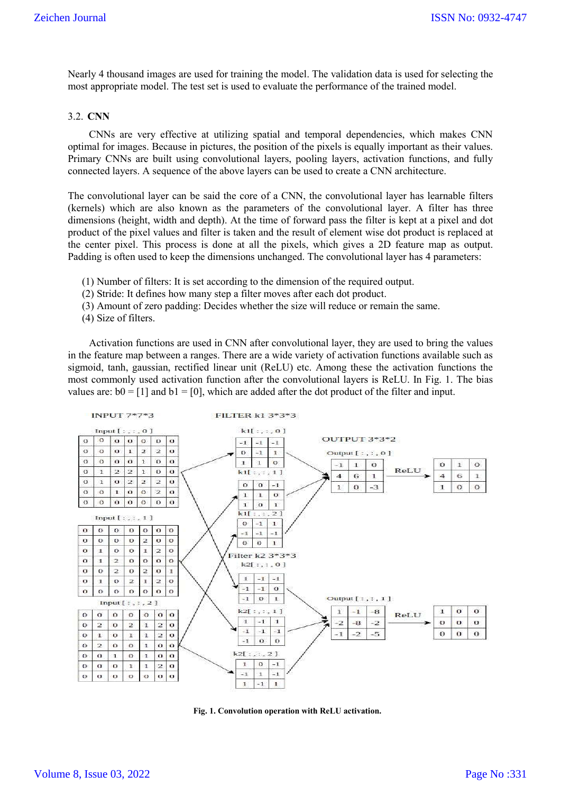Nearly 4 thousand images are used for training the model. The validation data is used for selecting the most appropriate model. The test set is used to evaluate the performance of the trained model.

#### 3.2. **CNN**

CNNs are very effective at utilizing spatial and temporal dependencies, which makes CNN optimal for images. Because in pictures, the position of the pixels is equally important as their values. Primary CNNs are built using convolutional layers, pooling layers, activation functions, and fully connected layers. A sequence of the above layers can be used to create a CNN architecture.

The convolutional layer can be said the core of a CNN, the convolutional layer has learnable filters (kernels) which are also known as the parameters of the convolutional layer. A filter has three dimensions (height, width and depth). At the time of forward pass the filter is kept at a pixel and dot product of the pixel values and filter is taken and the result of element wise dot product is replaced at the center pixel. This process is done at all the pixels, which gives a 2D feature map as output. Padding is often used to keep the dimensions unchanged. The convolutional layer has 4 parameters:

- (1) Number of filters: It is set according to the dimension of the required output.
- (2) Stride: It defines how many step a filter moves after each dot product.
- (3) Amount of zero padding: Decides whether the size will reduce or remain the same.
- (4) Size of filters.

Activation functions are used in CNN after convolutional layer, they are used to bring the values in the feature map between a ranges. There are a wide variety of activation functions available such as sigmoid, tanh, gaussian, rectified linear unit (ReLU) etc. Among these the activation functions the most commonly used activation function after the convolutional layers is ReLU. In Fig. 1. The bias values are:  $b0 = [1]$  and  $b1 = [0]$ , which are added after the dot product of the filter and input.



**Fig. 1. Convolution operation with ReLU activation.**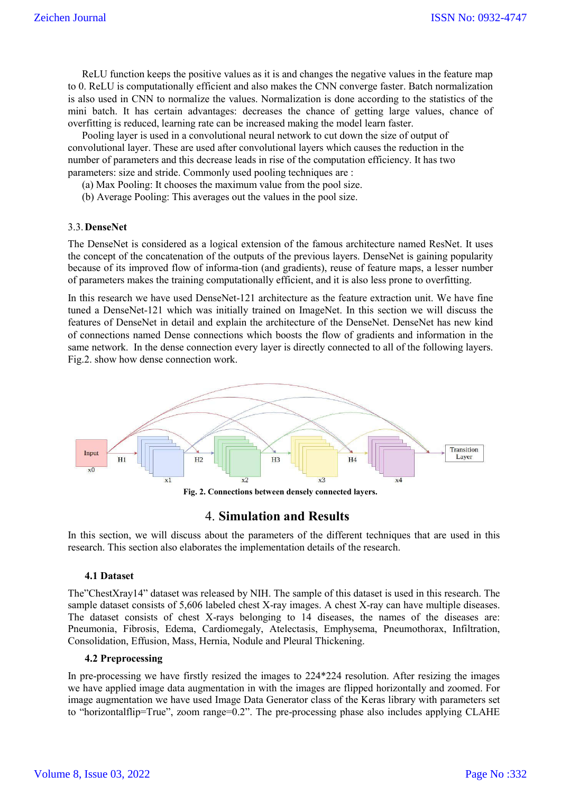ReLU function keeps the positive values as it is and changes the negative values in the feature map to 0. ReLU is computationally efficient and also makes the CNN converge faster. Batch normalization is also used in CNN to normalize the values. Normalization is done according to the statistics of the mini batch. It has certain advantages: decreases the chance of getting large values, chance of overfitting is reduced, learning rate can be increased making the model learn faster.

Pooling layer is used in a convolutional neural network to cut down the size of output of convolutional layer. These are used after convolutional layers which causes the reduction in the number of parameters and this decrease leads in rise of the computation efficiency. It has two parameters: size and stride. Commonly used pooling techniques are :

(a) Max Pooling: It chooses the maximum value from the pool size.

(b) Average Pooling: This averages out the values in the pool size.

#### 3.3.**DenseNet**

The DenseNet is considered as a logical extension of the famous architecture named ResNet. It uses the concept of the concatenation of the outputs of the previous layers. DenseNet is gaining popularity because of its improved flow of informa-tion (and gradients), reuse of feature maps, a lesser number of parameters makes the training computationally efficient, and it is also less prone to overfitting.

In this research we have used DenseNet-121 architecture as the feature extraction unit. We have fine tuned a DenseNet-121 which was initially trained on ImageNet. In this section we will discuss the features of DenseNet in detail and explain the architecture of the DenseNet. DenseNet has new kind of connections named Dense connections which boosts the flow of gradients and information in the same network. In the dense connection every layer is directly connected to all of the following layers. Fig.2. show how dense connection work.



**Fig. 2. Connections between densely connected layers.**

### 4. **Simulation and Results**

In this section, we will discuss about the parameters of the different techniques that are used in this research. This section also elaborates the implementation details of the research.

#### **4.1 Dataset**

The"ChestXray14" dataset was released by NIH. The sample of this dataset is used in this research. The sample dataset consists of 5,606 labeled chest X-ray images. A chest X-ray can have multiple diseases. The dataset consists of chest X-rays belonging to 14 diseases, the names of the diseases are: Pneumonia, Fibrosis, Edema, Cardiomegaly, Atelectasis, Emphysema, Pneumothorax, Infiltration, Consolidation, Effusion, Mass, Hernia, Nodule and Pleural Thickening.

#### **4.2 Preprocessing**

In pre-processing we have firstly resized the images to 224\*224 resolution. After resizing the images we have applied image data augmentation in with the images are flipped horizontally and zoomed. For image augmentation we have used Image Data Generator class of the Keras library with parameters set to "horizontalflip=True", zoom range=0.2". The pre-processing phase also includes applying CLAHE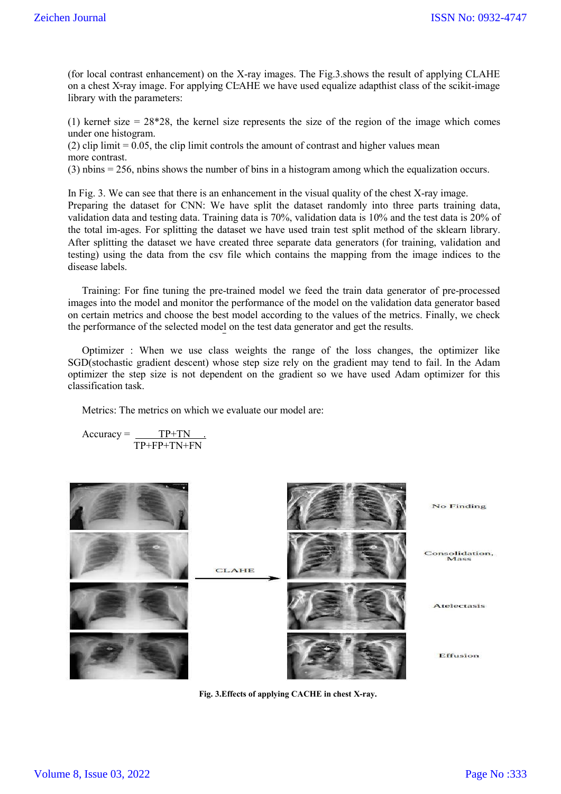(for local contrast enhancement) on the X-ray images. The Fig.3.shows the result of applying CLAHE on a chest X-ray image. For applying CLAHE we have used equalize adapthist class of the scikit-image library with the parameters:

(1) kernel size  $= 28*28$ , the kernel size represents the size of the region of the image which comes under one histogram.

(2) clip limit  $= 0.05$ , the clip limit controls the amount of contrast and higher values mean more contrast.

(3) nbins = 256, nbins shows the number of bins in a histogram among which the equalization occurs.

In Fig. 3. We can see that there is an enhancement in the visual quality of the chest X-ray image. Preparing the dataset for CNN: We have split the dataset randomly into three parts training data, validation data and testing data. Training data is 70%, validation data is 10% and the test data is 20% of the total im-ages. For splitting the dataset we have used train test split method of the sklearn library. After splitting the dataset we have created three separate data generators (for training, validation and testing) using the data from the csv file which contains the mapping from the image indices to the disease labels.

Training: For fine tuning the pre-trained model we feed the train data generator of pre-processed images into the model and monitor the performance of the model on the validation data generator based on certain metrics and choose the best model according to the values of the metrics. Finally, we check the performance of the selected model on the test data generator and get the results.

Optimizer : When we use class weights the range of the loss changes, the optimizer like SGD(stochastic gradient descent) whose step size rely on the gradient may tend to fail. In the Adam optimizer the step size is not dependent on the gradient so we have used Adam optimizer for this classification task.

Metrics: The metrics on which we evaluate our model are:

$$
Accuracy = \frac{TP+TN}{TP+FP+TN+FN}
$$



**Fig. 3.Effects of applying CACHE in chest X-ray.**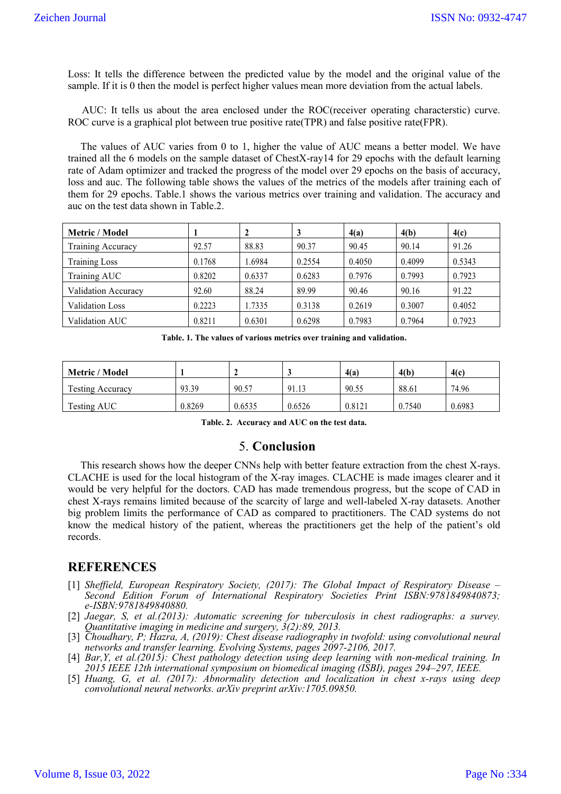Loss: It tells the difference between the predicted value by the model and the original value of the sample. If it is 0 then the model is perfect higher values mean more deviation from the actual labels.

AUC: It tells us about the area enclosed under the ROC(receiver operating characterstic) curve. ROC curve is a graphical plot between true positive rate(TPR) and false positive rate(FPR).

The values of AUC varies from 0 to 1, higher the value of AUC means a better model. We have trained all the 6 models on the sample dataset of ChestX-ray14 for 29 epochs with the default learning rate of Adam optimizer and tracked the progress of the model over 29 epochs on the basis of accuracy, loss and auc. The following table shows the values of the metrics of the models after training each of them for 29 epochs. Table.1 shows the various metrics over training and validation. The accuracy and auc on the test data shown in Table.2.

| Metric / Model         |        | 2      | 3      | 4(a)   | 4(b)   | 4(c)   |
|------------------------|--------|--------|--------|--------|--------|--------|
| Training Accuracy      | 92.57  | 88.83  | 90.37  | 90.45  | 90.14  | 91.26  |
| <b>Training Loss</b>   | 0.1768 | .6984  | 0.2554 | 0.4050 | 0.4099 | 0.5343 |
| Training AUC           | 0.8202 | 0.6337 | 0.6283 | 0.7976 | 0.7993 | 0.7923 |
| Validation Accuracy    | 92.60  | 88.24  | 89.99  | 90.46  | 90.16  | 91.22  |
| <b>Validation Loss</b> | 0.2223 | 1.7335 | 0.3138 | 0.2619 | 0.3007 | 0.4052 |
| Validation AUC         | 0.8211 | 0.6301 | 0.6298 | 0.7983 | 0.7964 | 0.7923 |

**Table. 1. The values of various metrics over training and validation.**

| Metric / Model          |        |        |        | 4(a)   | 4(b)   | 4(c)   |
|-------------------------|--------|--------|--------|--------|--------|--------|
| <b>Testing Accuracy</b> | 93.39  | 90.57  | 91.13  | 90.55  | 88.61  | 74.96  |
| Testing AUC             | 0.8269 | 0.6535 | 0.6526 | 0.8121 | 0.7540 | 0.6983 |

**Table. 2. Accuracy and AUC on the test data.**

### 5. **Conclusion**

This research shows how the deeper CNNs help with better feature extraction from the chest X-rays. CLACHE is used for the local histogram of the X-ray images. CLACHE is made images clearer and it would be very helpful for the doctors. CAD has made tremendous progress, but the scope of CAD in chest X-rays remains limited because of the scarcity of large and well-labeled X-ray datasets. Another big problem limits the performance of CAD as compared to practitioners. The CAD systems do not know the medical history of the patient, whereas the practitioners get the help of the patient's old records.

# **REFERENCES**

- [1] *Sheffield, European Respiratory Society, (2017): The Global Impact of Respiratory Disease – Second Edition Forum of International Respiratory Societies Print ISBN:9781849840873; e-ISBN:9781849840880.*
- [2] *Jaegar, S, et al.(2013): Automatic screening for tuberculosis in chest radiographs: a survey. Quantitative imaging in medicine and surgery, 3(2):89, 2013.*
- [3] *Choudhary, P; Hazra, A, (2019): Chest disease radiography in twofold: using convolutional neural networks and transfer learning. Evolving Systems, pages 2097-2106, 2017.*
- [4] *Bar,Y, et al.(2015): Chest pathology detection using deep learning with non-medical training. In 2015 IEEE 12th international symposium on biomedical imaging (ISBI), pages 294–297, IEEE.*
- [5] *Huang, G, et al. (2017): Abnormality detection and localization in chest x-rays using deep convolutional neural networks. arXiv preprint arXiv:1705.09850.*